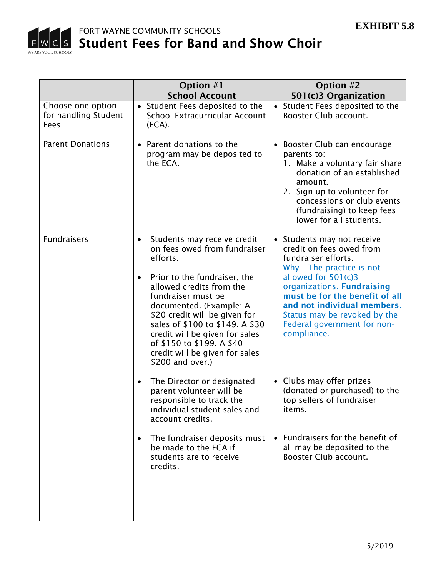

|                                                   | Option #1<br><b>School Account</b>                                                                                                                                                                                                                                                                                                                                                                      | Option #2<br>501(c)3 Organization                                                                                                                                                                                                                                                                              |
|---------------------------------------------------|---------------------------------------------------------------------------------------------------------------------------------------------------------------------------------------------------------------------------------------------------------------------------------------------------------------------------------------------------------------------------------------------------------|----------------------------------------------------------------------------------------------------------------------------------------------------------------------------------------------------------------------------------------------------------------------------------------------------------------|
| Choose one option<br>for handling Student<br>Fees | • Student Fees deposited to the<br>School Extracurricular Account<br>(ECA).                                                                                                                                                                                                                                                                                                                             | • Student Fees deposited to the<br>Booster Club account.                                                                                                                                                                                                                                                       |
| <b>Parent Donations</b>                           | • Parent donations to the<br>program may be deposited to<br>the ECA.                                                                                                                                                                                                                                                                                                                                    | • Booster Club can encourage<br>parents to:<br>1. Make a voluntary fair share<br>donation of an established<br>amount.<br>2. Sign up to volunteer for<br>concessions or club events<br>(fundraising) to keep fees<br>lower for all students.                                                                   |
| <b>Fundraisers</b>                                | Students may receive credit<br>$\bullet$<br>on fees owed from fundraiser<br>efforts.<br>Prior to the fundraiser, the<br>$\bullet$<br>allowed credits from the<br>fundraiser must be<br>documented. (Example: A<br>\$20 credit will be given for<br>sales of \$100 to \$149. A \$30<br>credit will be given for sales<br>of \$150 to \$199. A \$40<br>credit will be given for sales<br>\$200 and over.) | • Students may not receive<br>credit on fees owed from<br>fundraiser efforts.<br>Why - The practice is not<br>allowed for 501(c)3<br>organizations. Fundraising<br>must be for the benefit of all<br>and not individual members.<br>Status may be revoked by the<br>Federal government for non-<br>compliance. |
|                                                   | The Director or designated<br>$\bullet$<br>parent volunteer will be<br>responsible to track the<br>individual student sales and<br>account credits.                                                                                                                                                                                                                                                     | • Clubs may offer prizes<br>(donated or purchased) to the<br>top sellers of fundraiser<br>items.                                                                                                                                                                                                               |
|                                                   | The fundraiser deposits must<br>$\bullet$<br>be made to the ECA if<br>students are to receive<br>credits.                                                                                                                                                                                                                                                                                               | • Fundraisers for the benefit of<br>all may be deposited to the<br>Booster Club account.                                                                                                                                                                                                                       |